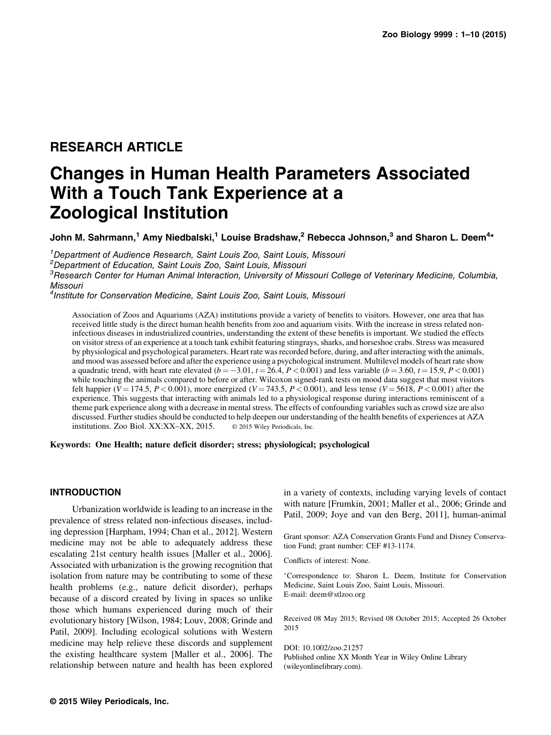# RESEARCH ARTICLE

# Changes in Human Health Parameters Associated With a Touch Tank Experience at a Zoological Institution

John M. Sahrmann, $^{\text{1}}$  Amy Niedbalski, $^{\text{1}}$  Louise Bradshaw, $^{\text{2}}$  Rebecca Johnson, $^{\text{3}}$  and Sharon L. Deem $^{\text{4}}{}^{\star}$ 

<sup>1</sup> Department of Audience Research, Saint Louis Zoo, Saint Louis, Missouri

<sup>2</sup>Department of Education, Saint Louis Zoo, Saint Louis, Missouri

<sup>3</sup>Research Center for Human Animal Interaction, University of Missouri College of Veterinary Medicine, Columbia, Missouri

<sup>4</sup>Institute for Conservation Medicine, Saint Louis Zoo, Saint Louis, Missouri

Association of Zoos and Aquariums (AZA) institutions provide a variety of benefits to visitors. However, one area that has received little study is the direct human health benefits from zoo and aquarium visits. With the increase in stress related noninfectious diseases in industrialized countries, understanding the extent of these benefits is important. We studied the effects on visitor stress of an experience at a touch tank exhibit featuring stingrays, sharks, and horseshoe crabs. Stress was measured by physiological and psychological parameters. Heart rate was recorded before, during, and after interacting with the animals, and mood was assessed before and after the experience using a psychological instrument. Multilevel models of heart rate show a quadratic trend, with heart rate elevated  $(b = -3.01, t = 26.4, P < 0.001)$  and less variable  $(b = 3.60, t = 15.9, P < 0.001)$ while touching the animals compared to before or after. Wilcoxon signed-rank tests on mood data suggest that most visitors felt happier (V = 174.5, P < 0.001), more energized (V = 743.5, P < 0.001), and less tense (V = 5618, P < 0.001) after the experience. This suggests that interacting with animals led to a physiological response during interactions reminiscent of a theme park experience along with a decrease in mental stress. The effects of confounding variables such as crowd size are also discussed. Further studies should be conducted to help deepen our understanding of the health benefits of experiences at AZA institutions. Zoo Biol. XX:XX–XX, 2015. © 2015 Wiley Periodicals, Inc.

Keywords: One Health; nature deficit disorder; stress; physiological; psychological

#### INTRODUCTION

Urbanization worldwide is leading to an increase in the prevalence of stress related non-infectious diseases, including depression [Harpham, 1994; Chan et al., 2012]. Western medicine may not be able to adequately address these escalating 21st century health issues [Maller et al., 2006]. Associated with urbanization is the growing recognition that isolation from nature may be contributing to some of these health problems (e.g., nature deficit disorder), perhaps because of a discord created by living in spaces so unlike those which humans experienced during much of their evolutionary history [Wilson, 1984; Louv, 2008; Grinde and Patil, 2009]. Including ecological solutions with Western medicine may help relieve these discords and supplement the existing healthcare system [Maller et al., 2006]. The relationship between nature and health has been explored in a variety of contexts, including varying levels of contact with nature [Frumkin, 2001; Maller et al., 2006; Grinde and Patil, 2009; Joye and van den Berg, 2011], human-animal

Grant sponsor: AZA Conservation Grants Fund and Disney Conservation Fund; grant number: CEF #13-1174.

Conflicts of interest: None.

Correspondence to: Sharon L. Deem, Institute for Conservation Medicine, Saint Louis Zoo, Saint Louis, Missouri. E-mail: deem@stlzoo.org

Received 08 May 2015; Revised 08 October 2015; Accepted 26 October 2015

DOI: 10.1002/zoo.21257 Published online XX Month Year in Wiley Online Library (wileyonlinelibrary.com).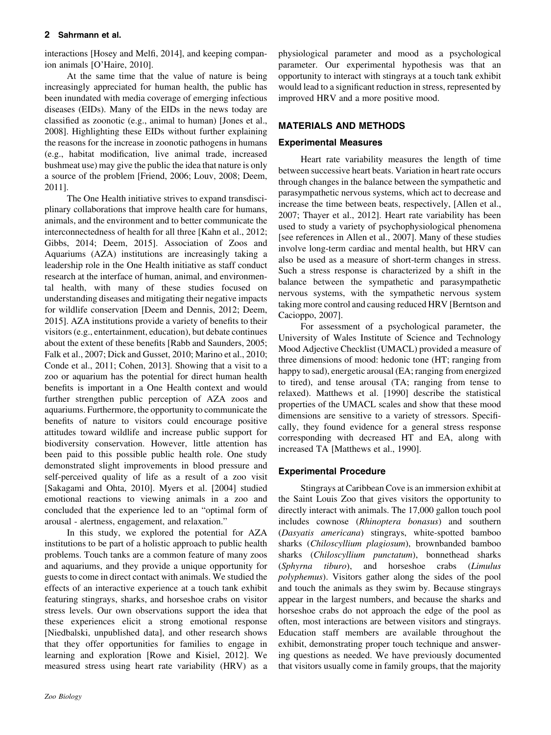# 2 Sahrmann et al.

interactions [Hosey and Melfi, 2014], and keeping companion animals [O'Haire, 2010].

At the same time that the value of nature is being increasingly appreciated for human health, the public has been inundated with media coverage of emerging infectious diseases (EIDs). Many of the EIDs in the news today are classified as zoonotic (e.g., animal to human) [Jones et al., 2008]. Highlighting these EIDs without further explaining the reasons for the increase in zoonotic pathogens in humans (e.g., habitat modification, live animal trade, increased bushmeat use) may give the public the idea that nature is only a source of the problem [Friend, 2006; Louv, 2008; Deem, 2011].

The One Health initiative strives to expand transdisciplinary collaborations that improve health care for humans, animals, and the environment and to better communicate the interconnectedness of health for all three [Kahn et al., 2012; Gibbs, 2014; Deem, 2015]. Association of Zoos and Aquariums (AZA) institutions are increasingly taking a leadership role in the One Health initiative as staff conduct research at the interface of human, animal, and environmental health, with many of these studies focused on understanding diseases and mitigating their negative impacts for wildlife conservation [Deem and Dennis, 2012; Deem, 2015]. AZA institutions provide a variety of benefits to their visitors (e.g., entertainment, education), but debate continues about the extent of these benefits [Rabb and Saunders, 2005; Falk et al., 2007; Dick and Gusset, 2010; Marino et al., 2010; Conde et al., 2011; Cohen, 2013]. Showing that a visit to a zoo or aquarium has the potential for direct human health benefits is important in a One Health context and would further strengthen public perception of AZA zoos and aquariums. Furthermore, the opportunity to communicate the benefits of nature to visitors could encourage positive attitudes toward wildlife and increase public support for biodiversity conservation. However, little attention has been paid to this possible public health role. One study demonstrated slight improvements in blood pressure and self-perceived quality of life as a result of a zoo visit [Sakagami and Ohta, 2010]. Myers et al. [2004] studied emotional reactions to viewing animals in a zoo and concluded that the experience led to an "optimal form of arousal - alertness, engagement, and relaxation."

In this study, we explored the potential for AZA institutions to be part of a holistic approach to public health problems. Touch tanks are a common feature of many zoos and aquariums, and they provide a unique opportunity for guests to come in direct contact with animals. We studied the effects of an interactive experience at a touch tank exhibit featuring stingrays, sharks, and horseshoe crabs on visitor stress levels. Our own observations support the idea that these experiences elicit a strong emotional response [Niedbalski, unpublished data], and other research shows that they offer opportunities for families to engage in learning and exploration [Rowe and Kisiel, 2012]. We measured stress using heart rate variability (HRV) as a physiological parameter and mood as a psychological parameter. Our experimental hypothesis was that an opportunity to interact with stingrays at a touch tank exhibit would lead to a significant reduction in stress, represented by improved HRV and a more positive mood.

# MATERIALS AND METHODS

# Experimental Measures

Heart rate variability measures the length of time between successive heart beats. Variation in heart rate occurs through changes in the balance between the sympathetic and parasympathetic nervous systems, which act to decrease and increase the time between beats, respectively, [Allen et al., 2007; Thayer et al., 2012]. Heart rate variability has been used to study a variety of psychophysiological phenomena [see references in Allen et al., 2007]. Many of these studies involve long-term cardiac and mental health, but HRV can also be used as a measure of short-term changes in stress. Such a stress response is characterized by a shift in the balance between the sympathetic and parasympathetic nervous systems, with the sympathetic nervous system taking more control and causing reduced HRV [Berntson and Cacioppo, 2007].

For assessment of a psychological parameter, the University of Wales Institute of Science and Technology Mood Adjective Checklist (UMACL) provided a measure of three dimensions of mood: hedonic tone (HT; ranging from happy to sad), energetic arousal (EA; ranging from energized to tired), and tense arousal (TA; ranging from tense to relaxed). Matthews et al. [1990] describe the statistical properties of the UMACL scales and show that these mood dimensions are sensitive to a variety of stressors. Specifically, they found evidence for a general stress response corresponding with decreased HT and EA, along with increased TA [Matthews et al., 1990].

# Experimental Procedure

Stingrays at Caribbean Cove is an immersion exhibit at the Saint Louis Zoo that gives visitors the opportunity to directly interact with animals. The 17,000 gallon touch pool includes cownose (Rhinoptera bonasus) and southern (Dasyatis americana) stingrays, white-spotted bamboo sharks (Chiloscyllium plagiosum), brownbanded bamboo sharks (Chiloscyllium punctatum), bonnethead sharks (Sphyrna tiburo), and horseshoe crabs (Limulus polyphemus). Visitors gather along the sides of the pool and touch the animals as they swim by. Because stingrays appear in the largest numbers, and because the sharks and horseshoe crabs do not approach the edge of the pool as often, most interactions are between visitors and stingrays. Education staff members are available throughout the exhibit, demonstrating proper touch technique and answering questions as needed. We have previously documented that visitors usually come in family groups, that the majority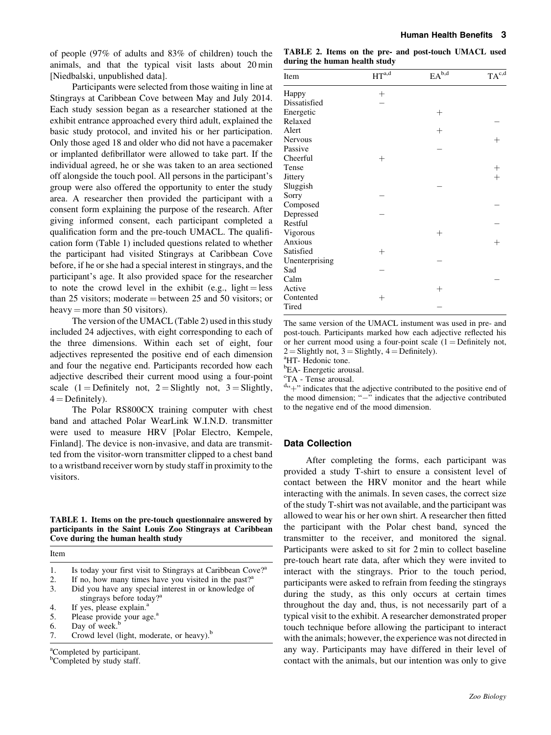of people (97% of adults and 83% of children) touch the animals, and that the typical visit lasts about 20 min [Niedbalski, unpublished data].

Participants were selected from those waiting in line at Stingrays at Caribbean Cove between May and July 2014. Each study session began as a researcher stationed at the exhibit entrance approached every third adult, explained the basic study protocol, and invited his or her participation. Only those aged 18 and older who did not have a pacemaker or implanted defibrillator were allowed to take part. If the individual agreed, he or she was taken to an area sectioned off alongside the touch pool. All persons in the participant's group were also offered the opportunity to enter the study area. A researcher then provided the participant with a consent form explaining the purpose of the research. After giving informed consent, each participant completed a qualification form and the pre-touch UMACL. The qualification form (Table 1) included questions related to whether the participant had visited Stingrays at Caribbean Cove before, if he or she had a special interest in stingrays, and the participant's age. It also provided space for the researcher to note the crowd level in the exhibit (e.g., light = less than 25 visitors; moderate  $=$  between 25 and 50 visitors; or heavy  $=$  more than 50 visitors).

The version of the UMACL (Table 2) used in this study included 24 adjectives, with eight corresponding to each of the three dimensions. Within each set of eight, four adjectives represented the positive end of each dimension and four the negative end. Participants recorded how each adjective described their current mood using a four-point scale (1 = Definitely not, 2 = Slightly not, 3 = Slightly,  $4 =$ Definitely).

The Polar RS800CX training computer with chest band and attached Polar WearLink W.I.N.D. transmitter were used to measure HRV [Polar Electro, Kempele, Finland]. The device is non-invasive, and data are transmitted from the visitor-worn transmitter clipped to a chest band to a wristband receiver worn by study staff in proximity to the visitors.

TABLE 1. Items on the pre-touch questionnaire answered by participants in the Saint Louis Zoo Stingrays at Caribbean Cove during the human health study

| Item |                                                                                              |
|------|----------------------------------------------------------------------------------------------|
| 1.   | Is today your first visit to Stingrays at Caribbean Cove? <sup>4</sup>                       |
| 2.   | If no, how many times have you visited in the past? <sup>4</sup>                             |
| 3.   | Did you have any special interest in or knowledge of<br>stingrays before today? <sup>a</sup> |
| 4.   | If yes, please explain. <sup>a</sup>                                                         |
| 5.   | Please provide your age. <sup>a</sup>                                                        |
| 6.   | Day of week. <sup>b</sup>                                                                    |
| 7.   | Crowd level (light, moderate, or heavy). <sup>b</sup>                                        |

<sup>a</sup>Completed by participant.

<sup>b</sup>Completed by study staff.

TABLE 2. Items on the pre- and post-touch UMACL used during the human health study

| Item           | $\mathbf{HT}^{\mathbf{a},\mathbf{d}}$ | $EA^{b,d}$ | $\mathrm{TA}^{\mathrm{c,d}}$ |
|----------------|---------------------------------------|------------|------------------------------|
| Happy          | $\hspace{0.1mm} +$                    |            |                              |
| Dissatisfied   |                                       |            |                              |
| Energetic      |                                       | $^{+}$     |                              |
| Relaxed        |                                       |            |                              |
| Alert          |                                       | $^{+}$     |                              |
| Nervous        |                                       |            | $^+$                         |
| Passive        |                                       |            |                              |
| Cheerful       | $^{+}$                                |            |                              |
| Tense          |                                       |            | $^{+}$                       |
| Jittery        |                                       |            | $^{+}$                       |
| Sluggish       |                                       |            |                              |
| Sorry          |                                       |            |                              |
| Composed       |                                       |            |                              |
| Depressed      |                                       |            |                              |
| Restful        |                                       |            |                              |
| Vigorous       |                                       | $^+$       |                              |
| Anxious        |                                       |            | $^+$                         |
| Satisfied      | $^+$                                  |            |                              |
| Unenterprising |                                       |            |                              |
| Sad            |                                       |            |                              |
| Calm           |                                       |            |                              |
| Active         |                                       | $^+$       |                              |
| Contented      | $^+$                                  |            |                              |
| Tired          |                                       |            |                              |
|                |                                       |            |                              |

The same version of the UMACL instument was used in pre- and post-touch. Participants marked how each adjective reflected his or her current mood using a four-point scale  $(1 = Definitely not,$  $2 =$  Slightly not,  $3 =$  Slightly,  $4 =$  Definitely).

<sup>a</sup>HT- Hedonic tone.

<sup>b</sup>EA- Energetic arousal.

c TA - Tense arousal.

 $\frac{d_H}{dt}$  indicates that the adjective contributed to the positive end of the mood dimension; "-" indicates that the adjective contributed to the negative end of the mood dimension.

### Data Collection

After completing the forms, each participant was provided a study T-shirt to ensure a consistent level of contact between the HRV monitor and the heart while interacting with the animals. In seven cases, the correct size of the study T-shirt was not available, and the participant was allowed to wear his or her own shirt. A researcher then fitted the participant with the Polar chest band, synced the transmitter to the receiver, and monitored the signal. ticipants were asked to sit for 2 min to collect baseline -touch heart rate data, after which they were invited to eract with the stingrays. Prior to the touch period, ticipants were asked to refrain from feeding the stingrays ing the study, as this only occurs at certain times oughout the day and, thus, is not necessarily part of a ical visit to the exhibit. A researcher demonstrated proper ch technique before allowing the participant to interact with the animals; however, the experience was not directed in any way. Participants may have differed in their level of contact with the animals, but our intention was only to give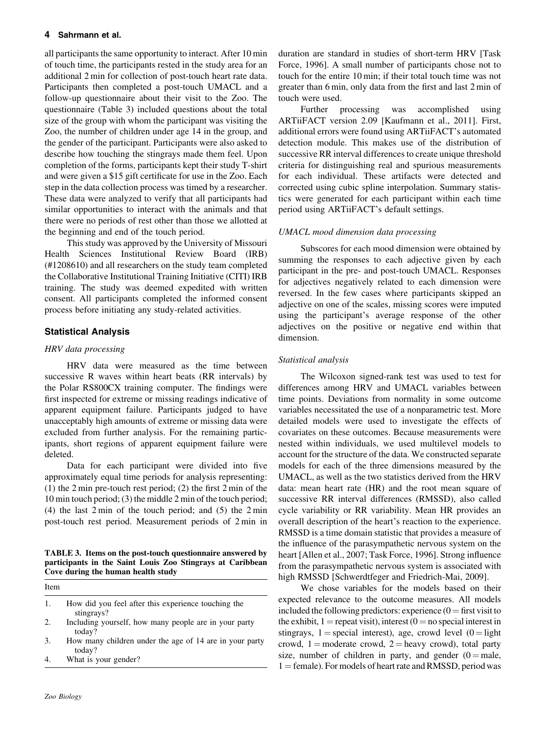# 4 Sahrmann et al.

all participants the same opportunity to interact. After 10 min of touch time, the participants rested in the study area for an additional 2 min for collection of post-touch heart rate data. Participants then completed a post-touch UMACL and a follow-up questionnaire about their visit to the Zoo. The questionnaire (Table 3) included questions about the total size of the group with whom the participant was visiting the Zoo, the number of children under age 14 in the group, and the gender of the participant. Participants were also asked to describe how touching the stingrays made them feel. Upon completion of the forms, participants kept their study T-shirt and were given a \$15 gift certificate for use in the Zoo. Each step in the data collection process was timed by a researcher. These data were analyzed to verify that all participants had similar opportunities to interact with the animals and that there were no periods of rest other than those we allotted at the beginning and end of the touch period.

This study was approved by the University of Missouri Health Sciences Institutional Review Board (IRB) (#1208610) and all researchers on the study team completed the Collaborative Institutional Training Initiative (CITI) IRB training. The study was deemed expedited with written consent. All participants completed the informed consent process before initiating any study-related activities.

# Statistical Analysis

#### HRV data processing

HRV data were measured as the time between successive R waves within heart beats (RR intervals) by the Polar RS800CX training computer. The findings were first inspected for extreme or missing readings indicative of apparent equipment failure. Participants judged to have unacceptably high amounts of extreme or missing data were excluded from further analysis. For the remaining participants, short regions of apparent equipment failure were deleted.

Data for each participant were divided into five approximately equal time periods for analysis representing: (1) the 2 min pre-touch rest period; (2) the first 2 min of the 10 min touch period; (3) the middle 2 min of the touch period; (4) the last 2 min of the touch period; and (5) the 2 min post-touch rest period. Measurement periods of 2 min in

TABLE 3. Items on the post-touch questionnaire answered by participants in the Saint Louis Zoo Stingrays at Caribbean Cove during the human health study

| Item |                                                                   |  |  |
|------|-------------------------------------------------------------------|--|--|
| -1.  | How did you feel after this experience touching the<br>stingrays? |  |  |
| 2.   | Including yourself, how many people are in your party<br>today?   |  |  |
| 3.   | How many children under the age of 14 are in your party<br>today? |  |  |
|      | What is your gender?                                              |  |  |

duration are standard in studies of short-term HRV [Task Force, 1996]. A small number of participants chose not to touch for the entire 10 min; if their total touch time was not greater than 6 min, only data from the first and last 2 min of touch were used.

Further processing was accomplished using ARTiiFACT version 2.09 [Kaufmann et al., 2011]. First, additional errors were found using ARTiiFACT's automated detection module. This makes use of the distribution of successive RR interval differences to create unique threshold criteria for distinguishing real and spurious measurements for each individual. These artifacts were detected and corrected using cubic spline interpolation. Summary statistics were generated for each participant within each time period using ARTiiFACT's default settings.

#### UMACL mood dimension data processing

Subscores for each mood dimension were obtained by summing the responses to each adjective given by each participant in the pre- and post-touch UMACL. Responses for adjectives negatively related to each dimension were reversed. In the few cases where participants skipped an adjective on one of the scales, missing scores were imputed using the participant's average response of the other adjectives on the positive or negative end within that dimension.

#### Statistical analysis

The Wilcoxon signed-rank test was used to test for differences among HRV and UMACL variables between time points. Deviations from normality in some outcome variables necessitated the use of a nonparametric test. More detailed models were used to investigate the effects of covariates on these outcomes. Because measurements were nested within individuals, we used multilevel models to account for the structure of the data. We constructed separate models for each of the three dimensions measured by the UMACL, as well as the two statistics derived from the HRV data: mean heart rate (HR) and the root mean square of successive RR interval differences (RMSSD), also called cycle variability or RR variability. Mean HR provides an overall description of the heart's reaction to the experience. RMSSD is a time domain statistic that provides a measure of the influence of the parasympathetic nervous system on the heart [Allen et al., 2007; Task Force, 1996]. Strong influence from the parasympathetic nervous system is associated with high RMSSD [Schwerdtfeger and Friedrich-Mai, 2009].

We chose variables for the models based on their expected relevance to the outcome measures. All models included the following predictors: experience  $(0 =$  first visit to the exhibit,  $1$  = repeat visit), interest (0 = no special interest in stingrays, 1 = special interest), age, crowd level  $(0 =$  light crowd,  $1 =$  moderate crowd,  $2 =$  heavy crowd), total party size, number of children in party, and gender  $(0)$  male,  $1 =$  female). For models of heart rate and RMSSD, period was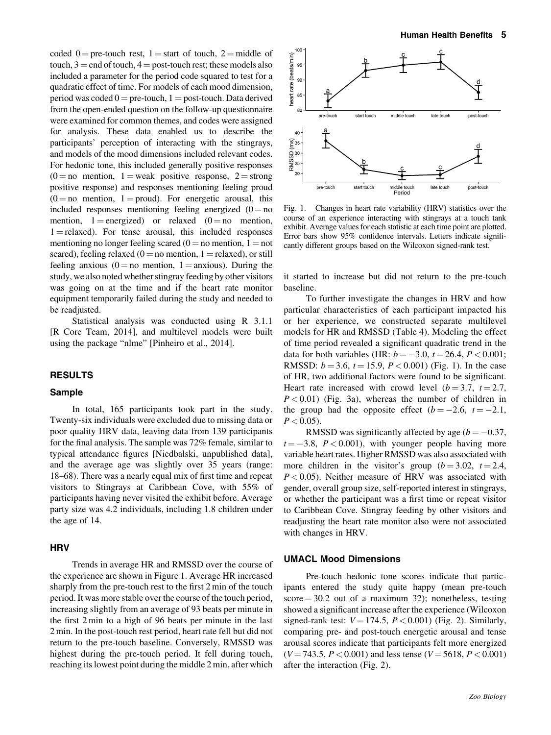coded 0 = pre-touch rest, 1 = start of touch, 2 = middle of touch,  $3 =$  end of touch,  $4 =$  post-touch rest; these models also included a parameter for the period code squared to test for a quadratic effect of time. For models of each mood dimension, period was coded  $0 =$  pre-touch,  $1 =$  post-touch. Data derived from the open-ended question on the follow-up questionnaire were examined for common themes, and codes were assigned for analysis. These data enabled us to describe the participants' perception of interacting with the stingrays, and models of the mood dimensions included relevant codes. For hedonic tone, this included generally positive responses  $(0 = no$  mention, 1 = weak positive response, 2 = strong positive response) and responses mentioning feeling proud  $(0 = no$  mention, 1 = proud). For energetic arousal, this included responses mentioning feeling energized  $(0 = no$ mention,  $1 =$  energized) or relaxed  $(0 =$  no mention,  $1 =$  relaxed). For tense arousal, this included responses mentioning no longer feeling scared  $(0 =$  no mention,  $1 =$  not scared), feeling relaxed ( $0 =$  no mention, 1 = relaxed), or still feeling anxious ( $0 = no$  mention,  $1 =$ anxious). During the study, we also noted whether stingray feeding by other visitors was going on at the time and if the heart rate monitor equipment temporarily failed during the study and needed to be readjusted.

Statistical analysis was conducted using R 3.1.1 [R Core Team, 2014], and multilevel models were built using the package "nlme" [Pinheiro et al., 2014].

# RESULTS

# Sample

In total, 165 participants took part in the study. Twenty-six individuals were excluded due to missing data or poor quality HRV data, leaving data from 139 participants for the final analysis. The sample was 72% female, similar to typical attendance figures [Niedbalski, unpublished data], and the average age was slightly over 35 years (range: 18–68). There was a nearly equal mix of first time and repeat visitors to Stingrays at Caribbean Cove, with 55% of participants having never visited the exhibit before. Average party size was 4.2 individuals, including 1.8 children under the age of 14.

#### **HRV**

Trends in average HR and RMSSD over the course of the experience are shown in Figure 1. Average HR increased sharply from the pre-touch rest to the first 2 min of the touch period. It was more stable over the course of the touch period, increasing slightly from an average of 93 beats per minute in the first 2 min to a high of 96 beats per minute in the last 2 min. In the post-touch rest period, heart rate fell but did not return to the pre-touch baseline. Conversely, RMSSD was highest during the pre-touch period. It fell during touch, reaching its lowest point during the middle 2 min, after which



Fig. 1. Changes in heart rate variability (HRV) statistics over the course of an experience interacting with stingrays at a touch tank exhibit. Average values for each statistic at each time point are plotted. Error bars show 95% confidence intervals. Letters indicate significantly different groups based on the Wilcoxon signed-rank test.

it started to increase but did not return to the pre-touch baseline.

To further investigate the changes in HRV and how particular characteristics of each participant impacted his or her experience, we constructed separate multilevel models for HR and RMSSD (Table 4). Modeling the effect of time period revealed a significant quadratic trend in the data for both variables (HR:  $b = -3.0$ ,  $t = 26.4$ ,  $P < 0.001$ ; RMSSD:  $b = 3.6$ ,  $t = 15.9$ ,  $P < 0.001$ ) (Fig. 1). In the case of HR, two additional factors were found to be significant. Heart rate increased with crowd level  $(b = 3.7, t = 2.7,$  $P < 0.01$ ) (Fig. 3a), whereas the number of children in the group had the opposite effect  $(b = -2.6, t = -2.1,$  $P < 0.05$ ).

RMSSD was significantly affected by age  $(b = -0.37,$  $t = -3.8$ ,  $P < 0.001$ ), with younger people having more variable heart rates. Higher RMSSD was also associated with more children in the visitor's group  $(b = 3.02, t = 2.4,$  $P < 0.05$ ). Neither measure of HRV was associated with gender, overall group size, self-reported interest in stingrays, or whether the participant was a first time or repeat visitor to Caribbean Cove. Stingray feeding by other visitors and readjusting the heart rate monitor also were not associated with changes in HRV.

### UMACL Mood Dimensions

Pre-touch hedonic tone scores indicate that participants entered the study quite happy (mean pre-touch  $score = 30.2$  out of a maximum 32); nonetheless, testing showed a significant increase after the experience (Wilcoxon signed-rank test:  $V = 174.5$ ,  $P < 0.001$ ) (Fig. 2). Similarly, comparing pre- and post-touch energetic arousal and tense arousal scores indicate that participants felt more energized  $(V = 743.5, P < 0.001)$  and less tense  $(V = 5618, P < 0.001)$ after the interaction (Fig. 2).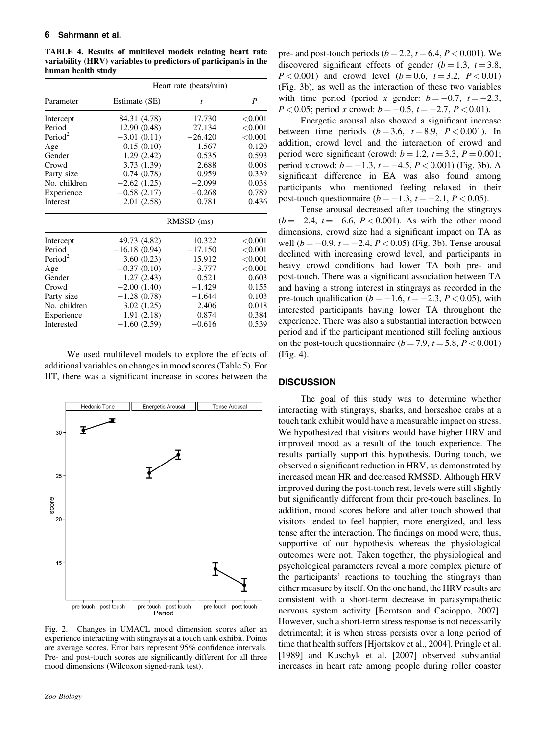TABLE 4. Results of multilevel models relating heart rate variability (HRV) variables to predictors of participants in the human health study

|                     | Heart rate (beats/min) |                  |            |
|---------------------|------------------------|------------------|------------|
| Parameter           | Estimate (SE)          | $\boldsymbol{t}$ | P          |
| Intercept           | 84.31 (4.78)           | 17.730           | ${<}0.001$ |
| Period              | 12.90 (0.48)           | 27.134           | < 0.001    |
| Period <sup>2</sup> | $-3.01(0.11)$          | $-26.420$        | < 0.001    |
| Age                 | $-0.15(0.10)$          | $-1.567$         | 0.120      |
| Gender              | 1.29(2.42)             | 0.535            | 0.593      |
| Crowd               | 3.73 (1.39)            | 2.688            | 0.008      |
| Party size          | 0.74(0.78)             | 0.959            | 0.339      |
| No. children        | $-2.62(1.25)$          | $-2.099$         | 0.038      |
| Experience          | $-0.58(2.17)$          | $-0.268$         | 0.789      |
| Interest            | 2.01(2.58)             | 0.781            | 0.436      |
|                     | RMSSD (ms)             |                  |            |
| Intercept           | 49.73 (4.82)           | 10.322           | < 0.001    |
| Period              | $-16.18(0.94)$         | $-17.150$        | < 0.001    |
| Period <sup>2</sup> | 3.60(0.23)             | 15.912           | <0.001     |
| Age                 | $-0.37(0.10)$          | $-3.777$         | < 0.001    |
| Gender              | 1.27(2.43)             | 0.521            | 0.603      |
| Crowd               | $-2.00(1.40)$          | $-1.429$         | 0.155      |
| Party size          | $-1.28(0.78)$          | $-1.644$         | 0.103      |
| No. children        | 3.02(1.25)             | 2.406            | 0.018      |
| Experience          | 1.91(2.18)             | 0.874            | 0.384      |
| Interested          | $-1.60(2.59)$          | $-0.616$         | 0.539      |

We used multilevel models to explore the effects of additional variables on changes in mood scores (Table 5). For HT, there was a significant increase in scores between the



Fig. 2. Changes in UMACL mood dimension scores after an experience interacting with stingrays at a touch tank exhibit. Points are average scores. Error bars represent 95% confidence intervals. Pre- and post-touch scores are significantly different for all three mood dimensions (Wilcoxon signed-rank test).

pre- and post-touch periods ( $b = 2.2$ ,  $t = 6.4$ ,  $P < 0.001$ ). We discovered significant effects of gender ( $b = 1.3$ ,  $t = 3.8$ ,  $P < 0.001$ ) and crowd level ( $b = 0.6$ ,  $t = 3.2$ ,  $P < 0.01$ ) (Fig. 3b), as well as the interaction of these two variables with time period (period x gender:  $b = -0.7$ ,  $t = -2.3$ ,  $P < 0.05$ ; period x crowd:  $b = -0.5$ ,  $t = -2.7$ ,  $P < 0.01$ ).

Energetic arousal also showed a significant increase between time periods  $(b = 3.6, t = 8.9, P < 0.001)$ . In addition, crowd level and the interaction of crowd and period were significant (crowd:  $b = 1.2$ ,  $t = 3.3$ ,  $P = 0.001$ ; period *x* crowd:  $b = -1.3$ ,  $t = -4.5$ ,  $P < 0.001$ ) (Fig. 3b). A significant difference in EA was also found among participants who mentioned feeling relaxed in their post-touch questionnaire ( $b = -1.3$ ,  $t = -2.1$ ,  $P < 0.05$ ).

Tense arousal decreased after touching the stingrays  $(b = -2.4, t = -6.6, P < 0.001)$ . As with the other mood dimensions, crowd size had a significant impact on TA as well  $(b = -0.9, t = -2.4, P < 0.05)$  (Fig. 3b). Tense arousal declined with increasing crowd level, and participants in heavy crowd conditions had lower TA both pre- and post-touch. There was a significant association between TA and having a strong interest in stingrays as recorded in the pre-touch qualification ( $b = -1.6$ ,  $t = -2.3$ ,  $P < 0.05$ ), with interested participants having lower TA throughout the experience. There was also a substantial interaction between period and if the participant mentioned still feeling anxious on the post-touch questionnaire ( $b = 7.9$ ,  $t = 5.8$ ,  $P < 0.001$ ) (Fig. 4).

#### **DISCUSSION**

The goal of this study was to determine whether interacting with stingrays, sharks, and horseshoe crabs at a touch tank exhibit would have a measurable impact on stress. We hypothesized that visitors would have higher HRV and improved mood as a result of the touch experience. The results partially support this hypothesis. During touch, we observed a significant reduction in HRV, as demonstrated by increased mean HR and decreased RMSSD. Although HRV improved during the post-touch rest, levels were still slightly but significantly different from their pre-touch baselines. In addition, mood scores before and after touch showed that visitors tended to feel happier, more energized, and less tense after the interaction. The findings on mood were, thus, supportive of our hypothesis whereas the physiological outcomes were not. Taken together, the physiological and psychological parameters reveal a more complex picture of the participants' reactions to touching the stingrays than either measure by itself. On the one hand, the HRV results are consistent with a short-term decrease in parasympathetic nervous system activity [Berntson and Cacioppo, 2007]. However, such a short-term stress response is not necessarily detrimental; it is when stress persists over a long period of time that health suffers [Hjortskov et al., 2004]. Pringle et al. [1989] and Kuschyk et al. [2007] observed substantial increases in heart rate among people during roller coaster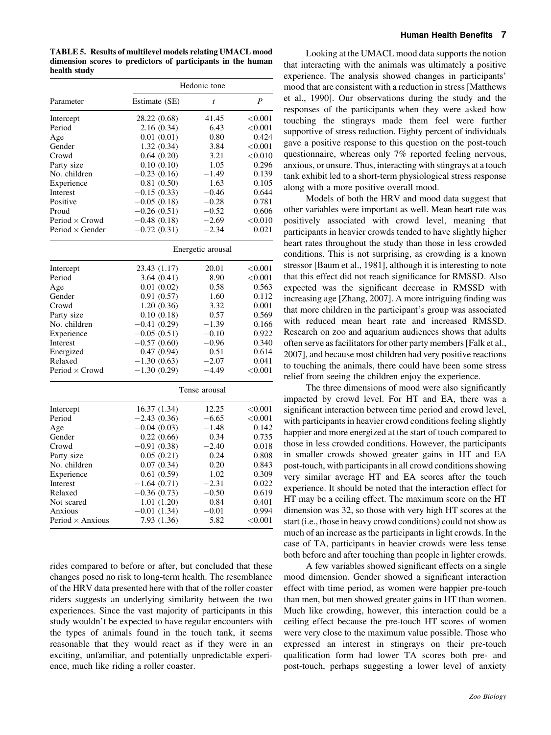TABLE 5. Results of multilevel models relating UMACL mood dimension scores to predictors of participants in the human health study

|                         | Hedonic tone      |            |                  |
|-------------------------|-------------------|------------|------------------|
| Parameter               | Estimate (SE)     | t          | $\boldsymbol{P}$ |
| Intercept               | 28.22 (0.68)      | 41.45      | ${<}0.001$       |
| Period                  | 2.16(0.34)        | 6.43       | ${<}0.001$       |
| Age                     | 0.01(0.01)        | 0.80       | 0.424            |
| Gender                  | 1.32(0.34)        | 3.84       | < 0.001          |
| Crowd                   | 0.64(0.20)        | 3.21       | < 0.010          |
| Party size              | 0.10(0.10)        | 1.05       | 0.296            |
| No. children            | $-0.23(0.16)$     | $-1.49$    | 0.139            |
| Experience              | 0.81(0.50)        | 1.63       | 0.105            |
| Interest                | $-0.15(0.33)$     | $-0.46$    | 0.644            |
| Positive                | $-0.05(0.18)$     | $-0.28$    | 0.781            |
| Proud                   | $-0.26(0.51)$     | $-0.52$    | 0.606            |
| Period $\times$ Crowd   | $-0.48(0.18)$     | $-2.69$    | < 0.010          |
| Period $\times$ Gender  | $-0.72(0.31)$     | $-2.34$    | 0.021            |
|                         | Energetic arousal |            |                  |
| Intercept               | 23.43 (1.17)      | 20.01      | < 0.001          |
| Period                  | 3.64(0.41)        | 8.90       | ${<}0.001$       |
| Age                     | 0.01(0.02)        | 0.58       | 0.563            |
| Gender                  | 0.91(0.57)        | 1.60       | 0.112            |
| Crowd                   | 1.20(0.36)        | 3.32       | 0.001            |
| Party size              | 0.10(0.18)        | 0.57       | 0.569            |
| No. children            | $-0.41(0.29)$     | $-1.39$    | 0.166            |
| Experience              | $-0.05(0.51)$     | $-0.10$    | 0.922            |
| Interest                | $-0.57(0.60)$     | $-0.96$    | 0.340            |
| Energized               | 0.47(0.94)        | 0.51       | 0.614            |
| Relaxed                 | $-1.30(0.63)$     | $^{-2.07}$ | 0.041            |
| Period $\times$ Crowd   | $-1.30(0.29)$     | $-4.49$    | < 0.001          |
|                         | Tense arousal     |            |                  |
| Intercept               | 16.37 (1.34)      | 12.25      | < 0.001          |
| Period                  | $-2.43(0.36)$     | $-6.65$    | ${<}0.001$       |
| Age                     | $-0.04(0.03)$     | $-1.48$    | 0.142            |
| Gender                  | 0.22(0.66)        | 0.34       | 0.735            |
| Crowd                   | $-0.91(0.38)$     | $-2.40$    | 0.018            |
| Party size              | 0.05(0.21)        | 0.24       | 0.808            |
| No. children            | 0.07(0.34)        | 0.20       | 0.843            |
| Experience              | 0.61(0.59)        | 1.02       | 0.309            |
| Interest                | $-1.64(0.71)$     | $-2.31$    | 0.022            |
| Relaxed                 | $-0.36(0.73)$     | $-0.50$    | 0.619            |
| Not scared              | 1.01(1.20)        | 0.84       | 0.401            |
| Anxious                 | $-0.01(1.34)$     | $-0.01$    | 0.994            |
| Period $\times$ Anxious | 7.93 (1.36)       | 5.82       | < 0.001          |

rides compared to before or after, but concluded that these changes posed no risk to long-term health. The resemblance of the HRV data presented here with that of the roller coaster riders suggests an underlying similarity between the two experiences. Since the vast majority of participants in this study wouldn't be expected to have regular encounters with the types of animals found in the touch tank, it seems reasonable that they would react as if they were in an exciting, unfamiliar, and potentially unpredictable experience, much like riding a roller coaster.

Looking at the UMACL mood data supports the notion that interacting with the animals was ultimately a positive experience. The analysis showed changes in participants' mood that are consistent with a reduction in stress [Matthews et al., 1990]. Our observations during the study and the responses of the participants when they were asked how touching the stingrays made them feel were further supportive of stress reduction. Eighty percent of individuals gave a positive response to this question on the post-touch questionnaire, whereas only 7% reported feeling nervous, anxious, or unsure. Thus, interacting with stingrays at a touch tank exhibit led to a short-term physiological stress response along with a more positive overall mood.

Models of both the HRV and mood data suggest that other variables were important as well. Mean heart rate was positively associated with crowd level, meaning that participants in heavier crowds tended to have slightly higher heart rates throughout the study than those in less crowded conditions. This is not surprising, as crowding is a known stressor [Baum et al., 1981], although it is interesting to note that this effect did not reach significance for RMSSD. Also expected was the significant decrease in RMSSD with increasing age [Zhang, 2007]. A more intriguing finding was that more children in the participant's group was associated with reduced mean heart rate and increased RMSSD. Research on zoo and aquarium audiences shows that adults often serve as facilitators for other party members [Falk et al., 2007], and because most children had very positive reactions to touching the animals, there could have been some stress relief from seeing the children enjoy the experience.

The three dimensions of mood were also significantly impacted by crowd level. For HT and EA, there was a significant interaction between time period and crowd level, with participants in heavier crowd conditions feeling slightly happier and more energized at the start of touch compared to those in less crowded conditions. However, the participants in smaller crowds showed greater gains in HT and EA post-touch, with participants in all crowd conditions showing very similar average HT and EA scores after the touch experience. It should be noted that the interaction effect for HT may be a ceiling effect. The maximum score on the HT dimension was 32, so those with very high HT scores at the start (i.e., those in heavy crowd conditions) could not show as much of an increase as the participants in light crowds. In the case of TA, participants in heavier crowds were less tense both before and after touching than people in lighter crowds.

A few variables showed significant effects on a single mood dimension. Gender showed a significant interaction effect with time period, as women were happier pre-touch than men, but men showed greater gains in HT than women. Much like crowding, however, this interaction could be a ceiling effect because the pre-touch HT scores of women were very close to the maximum value possible. Those who expressed an interest in stingrays on their pre-touch qualification form had lower TA scores both pre- and post-touch, perhaps suggesting a lower level of anxiety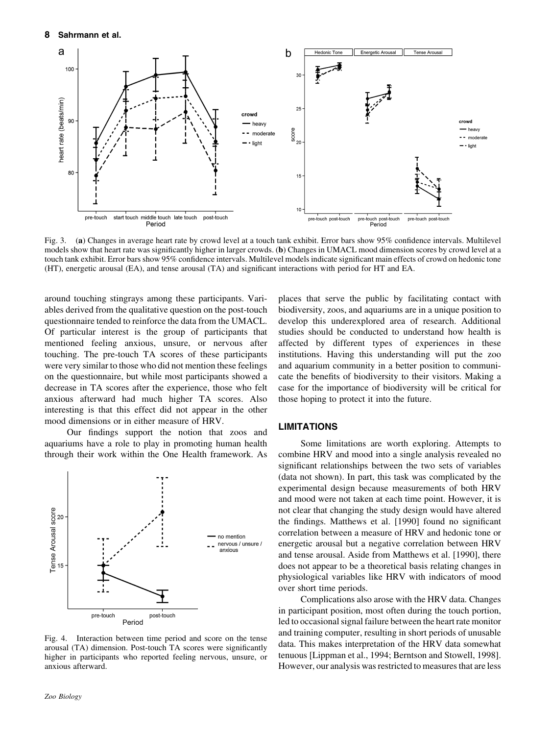

Fig. 3. (a) Changes in average heart rate by crowd level at a touch tank exhibit. Error bars show 95% confidence intervals. Multilevel models show that heart rate was significantly higher in larger crowds. (b) Changes in UMACL mood dimension scores by crowd level at a touch tank exhibit. Error bars show 95% confidence intervals. Multilevel models indicate significant main effects of crowd on hedonic tone (HT), energetic arousal (EA), and tense arousal (TA) and significant interactions with period for HT and EA.

around touching stingrays among these participants. Variables derived from the qualitative question on the post-touch questionnaire tended to reinforce the data from the UMACL. Of particular interest is the group of participants that mentioned feeling anxious, unsure, or nervous after touching. The pre-touch TA scores of these participants were very similar to those who did not mention these feelings on the questionnaire, but while most participants showed a decrease in TA scores after the experience, those who felt anxious afterward had much higher TA scores. Also interesting is that this effect did not appear in the other mood dimensions or in either measure of HRV.

Our findings support the notion that zoos and aquariums have a role to play in promoting human health through their work within the One Health framework. As



Fig. 4. Interaction between time period and score on the tense arousal (TA) dimension. Post-touch TA scores were significantly higher in participants who reported feeling nervous, unsure, or anxious afterward.

places that serve the public by facilitating contact with biodiversity, zoos, and aquariums are in a unique position to develop this underexplored area of research. Additional studies should be conducted to understand how health is affected by different types of experiences in these institutions. Having this understanding will put the zoo and aquarium community in a better position to communicate the benefits of biodiversity to their visitors. Making a case for the importance of biodiversity will be critical for those hoping to protect it into the future.

#### LIMITATIONS

Some limitations are worth exploring. Attempts to combine HRV and mood into a single analysis revealed no significant relationships between the two sets of variables (data not shown). In part, this task was complicated by the experimental design because measurements of both HRV and mood were not taken at each time point. However, it is not clear that changing the study design would have altered the findings. Matthews et al. [1990] found no significant correlation between a measure of HRV and hedonic tone or energetic arousal but a negative correlation between HRV and tense arousal. Aside from Matthews et al. [1990], there does not appear to be a theoretical basis relating changes in physiological variables like HRV with indicators of mood over short time periods.

Complications also arose with the HRV data. Changes in participant position, most often during the touch portion, led to occasional signal failure between the heart rate monitor and training computer, resulting in short periods of unusable data. This makes interpretation of the HRV data somewhat tenuous [Lippman et al., 1994; Berntson and Stowell, 1998]. However, our analysis was restricted to measures that are less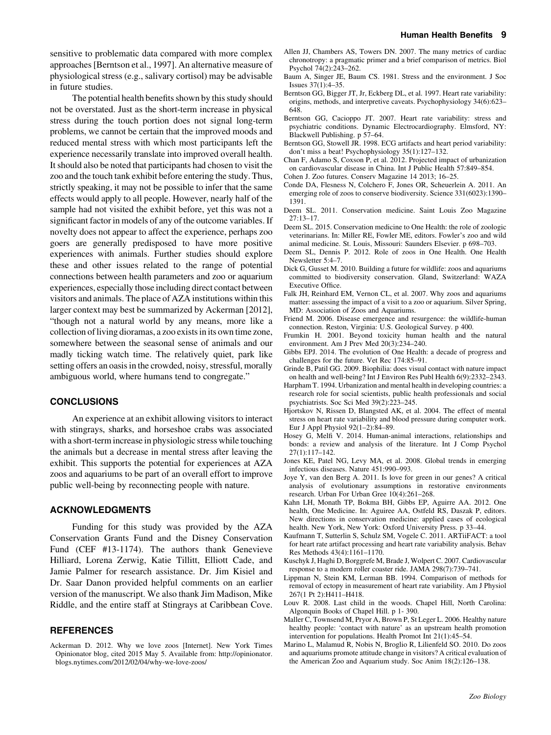The potential health benefits shown by this study should not be overstated. Just as the short-term increase in physical stress during the touch portion does not signal long-term problems, we cannot be certain that the improved moods and reduced mental stress with which most participants left the experience necessarily translate into improved overall health. It should also be noted that participants had chosen to visit the zoo and the touch tank exhibit before entering the study. Thus, strictly speaking, it may not be possible to infer that the same effects would apply to all people. However, nearly half of the sample had not visited the exhibit before, yet this was not a significant factor in models of any of the outcome variables. If novelty does not appear to affect the experience, perhaps zoo goers are generally predisposed to have more positive experiences with animals. Further studies should explore these and other issues related to the range of potential connections between health parameters and zoo or aquarium experiences, especially those including direct contact between visitors and animals. The place of AZA institutions within this larger context may best be summarized by Ackerman [2012], "though not a natural world by any means, more like a collection of living dioramas, a zoo exists in its own time zone, somewhere between the seasonal sense of animals and our madly ticking watch time. The relatively quiet, park like setting offers an oasis in the crowded, noisy, stressful, morally ambiguous world, where humans tend to congregate."

#### **CONCLUSIONS**

An experience at an exhibit allowing visitors to interact with stingrays, sharks, and horseshoe crabs was associated with a short-term increase in physiologic stress while touching the animals but a decrease in mental stress after leaving the exhibit. This supports the potential for experiences at AZA zoos and aquariums to be part of an overall effort to improve public well-being by reconnecting people with nature.

# ACKNOWLEDGMENTS

Funding for this study was provided by the AZA Conservation Grants Fund and the Disney Conservation Fund (CEF #13-1174). The authors thank Genevieve Hilliard, Lorena Zerwig, Katie Tillitt, Elliott Cade, and Jamie Palmer for research assistance. Dr. Jim Kisiel and Dr. Saar Danon provided helpful comments on an earlier version of the manuscript. We also thank Jim Madison, Mike Riddle, and the entire staff at Stingrays at Caribbean Cove.

#### **REFERENCES**

Ackerman D. 2012. Why we love zoos [Internet]. New York Times Opinionator blog, cited 2015 May 5. Available from: [http://opinionator.](http://opinionator.blogs.nytimes.com/2012/02/04/why-we-love-zoos/) [blogs.nytimes.com/2012/02/04/why-we-love-zoos/](http://opinionator.blogs.nytimes.com/2012/02/04/why-we-love-zoos/)

- Allen JJ, Chambers AS, Towers DN. 2007. The many metrics of cardiac chronotropy: a pragmatic primer and a brief comparison of metrics. Biol Psychol 74(2):243–262.
- Baum A, Singer JE, Baum CS. 1981. Stress and the environment. J Soc Issues 37(1):4–35.
- Berntson GG, Bigger JT, Jr, Eckberg DL, et al. 1997. Heart rate variability: origins, methods, and interpretive caveats. Psychophysiology 34(6):623– 648.
- Berntson GG, Cacioppo JT. 2007. Heart rate variability: stress and psychiatric conditions. Dynamic Electrocardiography. Elmsford, NY: Blackwell Publishing. p 57–64.
- Berntson GG, Stowell JR. 1998. ECG artifacts and heart period variability: don't miss a beat! Psychophysiology 35(1):127–132.
- Chan F, Adamo S, Coxson P, et al. 2012. Projected impact of urbanization on cardiovascular disease in China. Int J Public Health 57:849–854.
- Cohen J. Zoo futures. Conserv Magazine 14 2013; 16–25.
- Conde DA, Flesness N, Colchero F, Jones OR, Scheuerlein A. 2011. An emerging role of zoos to conserve biodiversity. Science 331(6023):1390– 1391.
- Deem SL. 2011. Conservation medicine. Saint Louis Zoo Magazine 27:13–17.
- Deem SL. 2015. Conservation medicine to One Health: the role of zoologic veterinarians. In: Miller RE, Fowler ME, editors. Fowler's zoo and wild animal medicine. St. Louis, Missouri: Saunders Elsevier. p 698–703.
- Deem SL, Dennis P. 2012. Role of zoos in One Health. One Health Newsletter 5:4–7.
- Dick G, Gusset M. 2010. Building a future for wildlife: zoos and aquariums committed to biodiversity conservation. Gland, Switzerland: WAZA Executive Office.
- Falk JH, Reinhard EM, Vernon CL, et al. 2007. Why zoos and aquariums matter: assessing the impact of a visit to a zoo or aquarium. Silver Spring, MD: Association of Zoos and Aquariums.
- Friend M. 2006. Disease emergence and resurgence: the wildlife-human connection. Reston, Virginia: U.S. Geological Survey. p 400.
- Frumkin H. 2001. Beyond toxicity human health and the natural environment. Am J Prev Med 20(3):234–240.
- Gibbs EPJ. 2014. The evolution of One Health: a decade of progress and challenges for the future. Vet Rec 174:85–91.
- Grinde B, Patil GG. 2009. Biophilia: does visual contact with nature impact on health and well-being? Int J Environ Res Publ Health 6(9):2332–2343.
- Harpham T. 1994. Urbanization and mental health in developing countries: a research role for social scientists, public health professionals and social psychiatrists. Soc Sci Med 39(2):223–245.
- Hjortskov N, Rissen D, Blangsted AK, et al. 2004. The effect of mental stress on heart rate variability and blood pressure during computer work. Eur J Appl Physiol 92(1–2):84–89.
- Hosey G, Melfi V. 2014. Human-animal interactions, relationships and bonds: a review and analysis of the literature. Int J Comp Psychol 27(1):117–142.
- Jones KE, Patel NG, Levy MA, et al. 2008. Global trends in emerging infectious diseases. Nature 451:990–993.
- Joye Y, van den Berg A. 2011. Is love for green in our genes? A critical analysis of evolutionary assumptions in restorative environments research. Urban For Urban Gree 10(4):261–268.
- Kahn LH, Monath TP, Bokma BH, Gibbs EP, Aguirre AA. 2012. One health, One Medicine. In: Aguiree AA, Ostfeld RS, Daszak P, editors. New directions in conservation medicine: applied cases of ecological health. New York, New York: Oxford University Press. p 33–44.
- Kaufmann T, Sutterlin S, Schulz SM, Vogele C. 2011. ARTiiFACT: a tool for heart rate artifact processing and heart rate variability analysis. Behav Res Methods 43(4):1161–1170.
- Kuschyk J, Haghi D, Borggrefe M, Brade J, Wolpert C. 2007. Cardiovascular response to a modern roller coaster ride. JAMA 298(7):739–741.
- Lippman N, Stein KM, Lerman BB. 1994. Comparison of methods for removal of ectopy in measurement of heart rate variability. Am J Physiol 267(1 Pt 2):H411–H418.
- Louv R. 2008. Last child in the woods. Chapel Hill, North Carolina: Algonquin Books of Chapel Hill. p 1- 390.
- Maller C, Townsend M, Pryor A, Brown P, St Leger L. 2006. Healthy nature healthy people: 'contact with nature' as an upstream health promotion intervention for populations. Health Promot Int 21(1):45–54.
- Marino L, Malamud R, Nobis N, Broglio R, Lilienfeld SO. 2010. Do zoos and aquariums promote attitude change in visitors? A critical evaluation of the American Zoo and Aquarium study. Soc Anim 18(2):126–138.